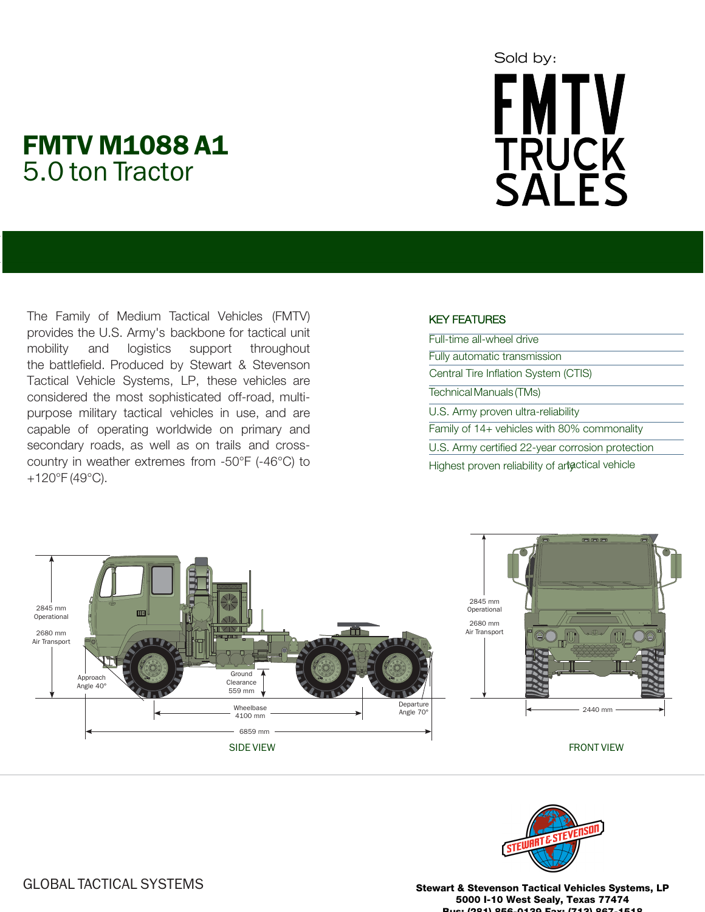# FMTV M1088 A1 5.0 ton Tractor

# Sold by: **FMTV TRUCK<br>SALES**

The Family of Medium Tactical Vehicles (FMTV) provides the U.S. Army's backbone for tactical unit mobility and logistics support throughout the battlefield. Produced by Stewart & Stevenson Tactical Vehicle Systems, LP, these vehicles are considered the most sophisticated off-road, multipurpose military tactical vehicles in use, and are capable of operating worldwide on primary and secondary roads, as well as on trails and crosscountry in weather extremes from -50°F (-46°C) to +120°F (49°C).

## KEY FEATURES

| Full-time all-wheel drive                        |
|--------------------------------------------------|
| Fully automatic transmission                     |
| Central Tire Inflation System (CTIS)             |
| <b>Technical Manuals (TMs)</b>                   |
| U.S. Army proven ultra-reliability               |
| Family of 14+ vehicles with 80% commonality      |
| U.S. Army certified 22-year corrosion protection |
| Highest proven reliability of artactical vehicle |





Stewart & Stevenson Tactical Vehicles Systems, LP 5000 I-10 West Sealy, Texas 77474 Bus: (281) 856-0139 Fax: (713) 867-1518